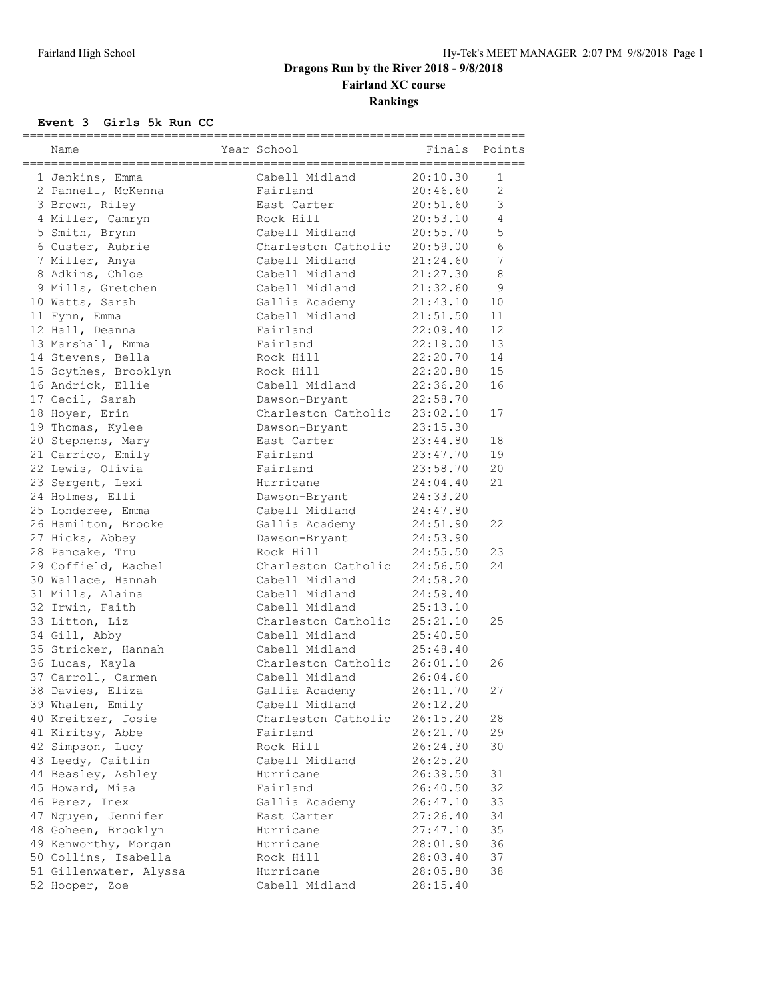# **Dragons Run by the River 2018 - 9/8/2018 Fairland XC course Rankings**

#### **Event 3 Girls 5k Run CC**

| Name                   | Year School                  |          | Finals Points  |
|------------------------|------------------------------|----------|----------------|
| 1 Jenkins, Emma        | Cabell Midland               | 20:10.30 | $\mathbf{1}$   |
| 2 Pannell, McKenna     | Fairland                     | 20:46.60 | $\overline{2}$ |
| 3 Brown, Riley         | East Carter                  | 20:51.60 | 3              |
| 4 Miller, Camryn       | Rock Hill                    | 20:53.10 | $\overline{4}$ |
| 5 Smith, Brynn         | Cabell Midland               | 20:55.70 | 5              |
| 6 Custer, Aubrie       | Charleston Catholic 20:59.00 |          | 6              |
| 7 Miller, Anya         | Cabell Midland               | 21:24.60 | 7              |
| 8 Adkins, Chloe        | Cabell Midland               | 21:27.30 | $\,8\,$        |
| 9 Mills, Gretchen      | Cabell Midland               | 21:32.60 | 9              |
|                        | Gallia Academy               | 21:43.10 | 10             |
| 10 Watts, Sarah        | Cabell Midland 21:51.50      |          | 11             |
| 11 Fynn, Emma          |                              |          |                |
| 12 Hall, Deanna        | Fairland                     | 22:09.40 | 12             |
| 13 Marshall, Emma      | Fairland                     | 22:19.00 | 13             |
| 14 Stevens, Bella      | Rock Hill                    | 22:20.70 | 14             |
| 15 Scythes, Brooklyn   | Rock Hill                    | 22:20.80 | 15             |
| 16 Andrick, Ellie      | Cabell Midland 22:36.20      |          | 16             |
| 17 Cecil, Sarah        | Dawson-Bryant                | 22:58.70 |                |
| 18 Hoyer, Erin         | Charleston Catholic          | 23:02.10 | 17             |
| 19 Thomas, Kylee       | Dawson-Bryant                | 23:15.30 |                |
| 20 Stephens, Mary      | East Carter                  | 23:44.80 | 18             |
| 21 Carrico, Emily      | Fairland                     | 23:47.70 | 19             |
| 22 Lewis, Olivia       | Fairland                     | 23:58.70 | 20             |
| 23 Sergent, Lexi       | Hurricane                    | 24:04.40 | 21             |
| 24 Holmes, Elli        | Dawson-Bryant                | 24:33.20 |                |
| 25 Londeree, Emma      | Cabell Midland               | 24:47.80 |                |
| 26 Hamilton, Brooke    | Gallia Academy               | 24:51.90 | 22             |
| 27 Hicks, Abbey        | Dawson-Bryant                | 24:53.90 |                |
| 28 Pancake, Tru        | Rock Hill                    | 24:55.50 | 23             |
| 29 Coffield, Rachel    | Charleston Catholic          | 24:56.50 | 24             |
| 30 Wallace, Hannah     | Cabell Midland               | 24:58.20 |                |
| 31 Mills, Alaina       | Cabell Midland               | 24:59.40 |                |
| 32 Irwin, Faith        | Cabell Midland               | 25:13.10 |                |
| 33 Litton, Liz         | Charleston Catholic 25:21.10 |          | 25             |
| 34 Gill, Abby          | Cabell Midland               | 25:40.50 |                |
| 35 Stricker, Hannah    | Cabell Midland               | 25:48.40 |                |
| 36 Lucas, Kayla        | Charleston Catholic 26:01.10 |          | 26             |
| 37 Carroll, Carmen     | Cabell Midland               | 26:04.60 |                |
| 38 Davies, Eliza       | Gallia Academy               | 26:11.70 | 27             |
| 39 Whalen, Emily       | Cabell Midland               | 26:12.20 |                |
| 40 Kreitzer, Josie     | Charleston Catholic          | 26:15.20 | 28             |
| 41 Kiritsy, Abbe       | Fairland                     | 26:21.70 | 29             |
| 42 Simpson, Lucy       | Rock Hill                    | 26:24.30 | 30             |
| 43 Leedy, Caitlin      | Cabell Midland               | 26:25.20 |                |
| 44 Beasley, Ashley     | Hurricane                    | 26:39.50 | 31             |
|                        |                              | 26:40.50 |                |
| 45 Howard, Miaa        | Fairland                     | 26:47.10 | 32             |
| 46 Perez, Inex         | Gallia Academy               |          | 33             |
| 47 Nguyen, Jennifer    | East Carter                  | 27:26.40 | 34             |
| 48 Goheen, Brooklyn    | Hurricane                    | 27:47.10 | 35             |
| 49 Kenworthy, Morgan   | Hurricane                    | 28:01.90 | 36             |
| 50 Collins, Isabella   | Rock Hill                    | 28:03.40 | 37             |
| 51 Gillenwater, Alyssa | Hurricane                    | 28:05.80 | 38             |
| 52 Hooper, Zoe         | Cabell Midland               | 28:15.40 |                |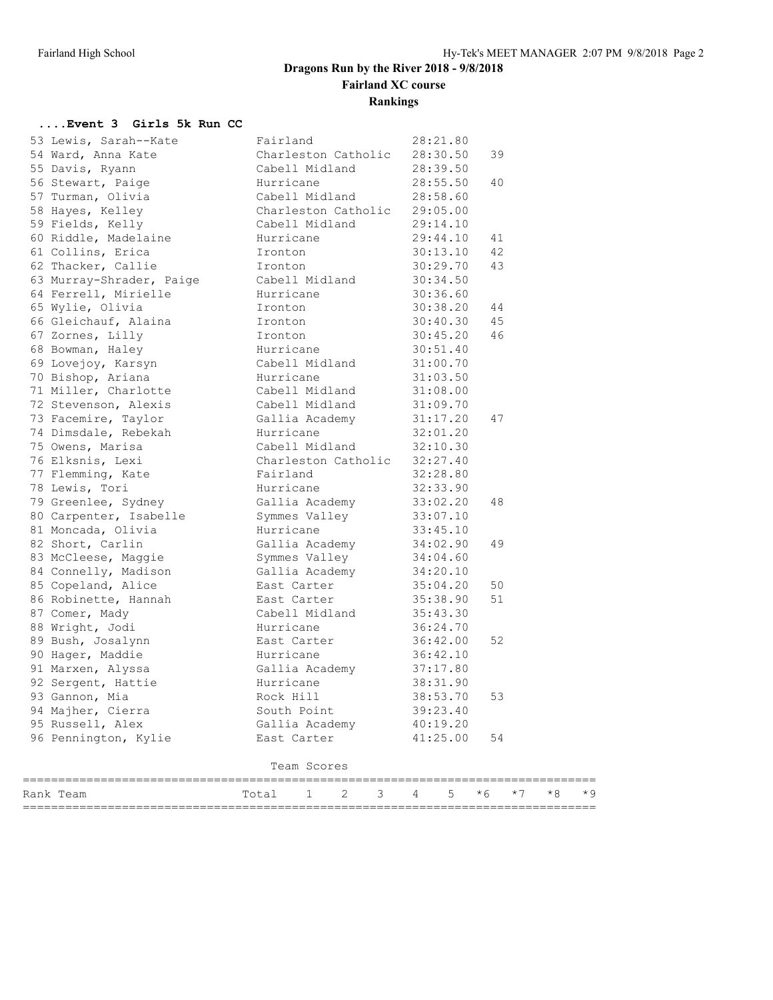## **Dragons Run by the River 2018 - 9/8/2018 Fairland XC course Rankings**

#### **....Event 3 Girls 5k Run CC**

| 53 Lewis, Sarah--Kate    | Fairland                     |                              |   |          |          | 28:21.80 |      |      |      |      |
|--------------------------|------------------------------|------------------------------|---|----------|----------|----------|------|------|------|------|
| 54 Ward, Anna Kate       |                              | Charleston Catholic          |   |          | 28:30.50 |          | 39   |      |      |      |
| 55 Davis, Ryann          |                              | Cabell Midland               |   |          | 28:39.50 |          |      |      |      |      |
| 56 Stewart, Paige        | Hurricane                    |                              |   |          | 28:55.50 |          | 40   |      |      |      |
| 57 Turman, Olivia        | Cabell Midland               |                              |   | 28:58.60 |          |          |      |      |      |      |
| 58 Hayes, Kelley         |                              | Charleston Catholic 29:05.00 |   |          |          |          |      |      |      |      |
| 59 Fields, Kelly         |                              | Cabell Midland               |   |          | 29:14.10 |          |      |      |      |      |
| 60 Riddle, Madelaine     | Hurricane                    |                              |   |          |          | 29:44.10 | 41   |      |      |      |
| 61 Collins, Erica        | Ironton                      |                              |   |          |          | 30:13.10 | 42   |      |      |      |
| 62 Thacker, Callie       | Ironton                      |                              |   |          | 30:29.70 |          | 43   |      |      |      |
| 63 Murray-Shrader, Paige |                              | Cabell Midland               |   |          | 30:34.50 |          |      |      |      |      |
| 64 Ferrell, Mirielle     | Hurricane                    |                              |   |          | 30:36.60 |          |      |      |      |      |
| 65 Wylie, Olivia         | Ironton                      |                              |   |          | 30:38.20 |          | 44   |      |      |      |
| 66 Gleichauf, Alaina     | Ironton                      |                              |   |          | 30:40.30 |          | 45   |      |      |      |
| 67 Zornes, Lilly         | Ironton                      |                              |   |          | 30:45.20 |          | 46   |      |      |      |
| 68 Bowman, Haley         |                              | Hurricane                    |   |          | 30:51.40 |          |      |      |      |      |
| 69 Lovejoy, Karsyn       | Cabell Midland               |                              |   |          | 31:00.70 |          |      |      |      |      |
| 70 Bishop, Ariana        | Hurricane                    |                              |   |          | 31:03.50 |          |      |      |      |      |
| 71 Miller, Charlotte     | Cabell Midland               |                              |   |          | 31:08.00 |          |      |      |      |      |
| 72 Stevenson, Alexis     |                              | Cabell Midland               |   |          | 31:09.70 |          |      |      |      |      |
| 73 Facemire, Taylor      |                              | Gallia Academy               |   |          | 31:17.20 |          | 47   |      |      |      |
| 74 Dimsdale, Rebekah     | Hurricane                    |                              |   |          | 32:01.20 |          |      |      |      |      |
| 75 Owens, Marisa         |                              | Cabell Midland               |   |          | 32:10.30 |          |      |      |      |      |
| 76 Elksnis, Lexi         | Charleston Catholic 32:27.40 |                              |   |          |          |          |      |      |      |      |
| 77 Flemming, Kate        | Fairland                     |                              |   |          | 32:28.80 |          |      |      |      |      |
| 78 Lewis, Tori           | Hurricane                    |                              |   |          | 32:33.90 |          |      |      |      |      |
| 79 Greenlee, Sydney      |                              | Gallia Academy               |   |          | 33:02.20 |          | 48   |      |      |      |
| 80 Carpenter, Isabelle   |                              | Symmes Valley                |   |          | 33:07.10 |          |      |      |      |      |
| 81 Moncada, Olivia       | Hurricane                    |                              |   |          | 33:45.10 |          |      |      |      |      |
| 82 Short, Carlin         |                              | Gallia Academy               |   |          | 34:02.90 |          | 49   |      |      |      |
| 83 McCleese, Maggie      |                              | Symmes Valley                |   |          | 34:04.60 |          |      |      |      |      |
| 84 Connelly, Madison     |                              | Gallia Academy               |   |          | 34:20.10 |          |      |      |      |      |
| 85 Copeland, Alice       |                              | East Carter                  |   |          | 35:04.20 |          | 50   |      |      |      |
| 86 Robinette, Hannah     |                              | East Carter                  |   |          | 35:38.90 |          | 51   |      |      |      |
| 87 Comer, Mady           |                              | Cabell Midland               |   |          | 35:43.30 |          |      |      |      |      |
| 88 Wright, Jodi          | Hurricane                    |                              |   |          | 36:24.70 |          |      |      |      |      |
| 89 Bush, Josalynn        | East Carter                  |                              |   |          | 36:42.00 |          | 52   |      |      |      |
| 90 Hager, Maddie         | Hurricane                    |                              |   | 36:42.10 |          |          |      |      |      |      |
| 91 Marxen, Alyssa        |                              | Gallia Academy               |   |          | 37:17.80 |          |      |      |      |      |
| 92 Sergent, Hattie       | Hurricane                    |                              |   |          | 38:31.90 |          |      |      |      |      |
| 93 Gannon, Mia           | Rock Hill                    |                              |   | 38:53.70 |          | 53       |      |      |      |      |
| 94 Majher, Cierra        | South Point                  |                              |   |          | 39:23.40 |          |      |      |      |      |
| 95 Russell, Alex         | Gallia Academy               |                              |   |          | 40:19.20 |          |      |      |      |      |
| 96 Pennington, Kylie     | East Carter                  |                              |   |          |          | 41:25.00 | 54   |      |      |      |
|                          |                              | Team Scores                  |   |          |          |          |      |      |      |      |
| Rank Team                | Total                        | ı                            | 2 | 3        | 4        | 5        | $*6$ | $*7$ | $*8$ | $*9$ |
|                          |                              |                              |   |          |          |          |      |      |      |      |